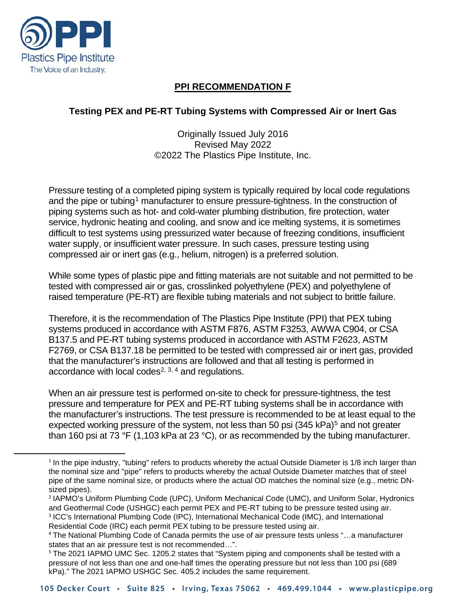

## **PPI RECOMMENDATION F**

## **Testing PEX and PE-RT Tubing Systems with Compressed Air or Inert Gas**

Originally Issued July 2016 Revised May 2022 ©2022 The Plastics Pipe Institute, Inc.

Pressure testing of a completed piping system is typically required by local code regulations and the pipe or tubing<sup>[1](#page-0-0)</sup> manufacturer to ensure pressure-tightness. In the construction of piping systems such as hot- and cold-water plumbing distribution, fire protection, water service, hydronic heating and cooling, and snow and ice melting systems, it is sometimes difficult to test systems using pressurized water because of freezing conditions, insufficient water supply, or insufficient water pressure. In such cases, pressure testing using compressed air or inert gas (e.g., helium, nitrogen) is a preferred solution.

While some types of plastic pipe and fitting materials are not suitable and not permitted to be tested with compressed air or gas, crosslinked polyethylene (PEX) and polyethylene of raised temperature (PE-RT) are flexible tubing materials and not subject to brittle failure.

Therefore, it is the recommendation of The Plastics Pipe Institute (PPI) that PEX tubing systems produced in accordance with ASTM F876, ASTM F3253, AWWA C904, or CSA B137.5 and PE-RT tubing systems produced in accordance with ASTM F2623, ASTM F2769, or CSA B137.18 be permitted to be tested with compressed air or inert gas, provided that the manufacturer's instructions are followed and that all testing is performed in accordance with local codes<sup>[2,](#page-0-1) [3,](#page-0-2) [4](#page-0-3)</sup> and regulations.

When an air pressure test is performed on-site to check for pressure-tightness, the test pressure and temperature for PEX and PE-RT tubing systems shall be in accordance with the manufacturer's instructions. The test pressure is recommended to be at least equal to the expected working pressure of the system, not less than [5](#page-0-4)0 psi  $(345 \text{ kPa})^5$  and not greater than 160 psi at 73 °F (1,103 kPa at 23 °C), or as recommended by the tubing manufacturer.

<span id="page-0-0"></span><sup>&</sup>lt;sup>1</sup> In the pipe industry, "tubing" refers to products whereby the actual Outside Diameter is 1/8 inch larger than the nominal size and "pipe" refers to products whereby the actual Outside Diameter matches that of steel pipe of the same nominal size, or products where the actual OD matches the nominal size (e.g., metric DNsized pipes).

<span id="page-0-1"></span><sup>2</sup> IAPMO's Uniform Plumbing Code (UPC), Uniform Mechanical Code (UMC), and Uniform Solar, Hydronics and Geothermal Code (USHGC) each permit PEX and PE-RT tubing to be pressure tested using air.

<span id="page-0-2"></span><sup>3</sup> ICC's International Plumbing Code (IPC), International Mechanical Code (IMC), and International Residential Code (IRC) each permit PEX tubing to be pressure tested using air.

<span id="page-0-3"></span><sup>4</sup> The National Plumbing Code of Canada permits the use of air pressure tests unless "…a manufacturer states that an air pressure test is not recommended…".

<span id="page-0-4"></span><sup>&</sup>lt;sup>5</sup> The 2021 IAPMO UMC Sec. 1205.2 states that "System piping and components shall be tested with a pressure of not less than one and one-half times the operating pressure but not less than 100 psi (689 kPa)." The 2021 IAPMO USHGC Sec. 405.2 includes the same requirement.